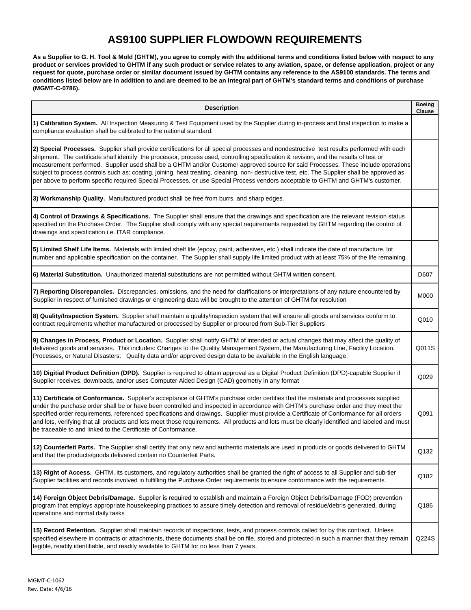## **AS9100 SUPPLIER FLOWDOWN REQUIREMENTS**

**As a Supplier to G. H. Tool & Mold (GHTM), you agree to comply with the additional terms and conditions listed below with respect to any product or services provided to GHTM if any such product or service relates to any aviation, space, or defense application, project or any request for quote, purchase order or similar document issued by GHTM contains any reference to the AS9100 standards. The terms and conditions listed below are in addition to and are deemed to be an integral part of GHTM's standard terms and conditions of purchase (MGMT-C-0786).** 

| <b>Description</b>                                                                                                                                                                                                                                                                                                                                                                                                                                                                                                                                                                                                                                                                                            | <b>Boeing</b><br>Clause |
|---------------------------------------------------------------------------------------------------------------------------------------------------------------------------------------------------------------------------------------------------------------------------------------------------------------------------------------------------------------------------------------------------------------------------------------------------------------------------------------------------------------------------------------------------------------------------------------------------------------------------------------------------------------------------------------------------------------|-------------------------|
| 1) Calibration System. All Inspection Measuring & Test Equipment used by the Supplier during in-process and final inspection to make a<br>compliance evaluation shall be calibrated to the national standard.                                                                                                                                                                                                                                                                                                                                                                                                                                                                                                 |                         |
| 2) Special Processes. Supplier shall provide certifications for all special processes and nondestructive test results performed with each<br>shipment. The certificate shall identify the processor, process used, controlling specification & revision, and the results of test or<br>measurement performed. Supplier used shall be a GHTM and/or Customer approved source for said Processes. These include operations<br>subject to process controls such as: coating, joining, heat treating, cleaning, non- destructive test, etc. The Supplier shall be approved as<br>per above to perform specific required Special Processes, or use Special Process vendors acceptable to GHTM and GHTM's customer. |                         |
| 3) Workmanship Quality. Manufactured product shall be free from burrs, and sharp edges.                                                                                                                                                                                                                                                                                                                                                                                                                                                                                                                                                                                                                       |                         |
| 4) Control of Drawings & Specifications. The Supplier shall ensure that the drawings and specification are the relevant revision status<br>specified on the Purchase Order. The Supplier shall comply with any special requirements requested by GHTM regarding the control of<br>drawings and specification i.e. ITAR compliance.                                                                                                                                                                                                                                                                                                                                                                            |                         |
| 5) Limited Shelf Life Items. Materials with limited shelf life (epoxy, paint, adhesives, etc.) shall indicate the date of manufacture, lot<br>number and applicable specification on the container. The Supplier shall supply life limited product with at least 75% of the life remaining.                                                                                                                                                                                                                                                                                                                                                                                                                   |                         |
| 6) Material Substitution. Unauthorized material substitutions are not permitted without GHTM written consent.                                                                                                                                                                                                                                                                                                                                                                                                                                                                                                                                                                                                 | D607                    |
| 7) Reporting Discrepancies. Discrepancies, omissions, and the need for clarifications or interpretations of any nature encountered by<br>Supplier in respect of furnished drawings or engineering data will be brought to the attention of GHTM for resolution                                                                                                                                                                                                                                                                                                                                                                                                                                                | M000                    |
| 8) Quality/Inspection System. Supplier shall maintain a quality/inspection system that will ensure all goods and services conform to<br>contract requirements whether manufactured or processed by Supplier or procured from Sub-Tier Suppliers                                                                                                                                                                                                                                                                                                                                                                                                                                                               | Q010                    |
| 9) Changes in Process, Product or Location. Supplier shall notify GHTM of intended or actual changes that may affect the quality of<br>delivered goods and services. This includes: Changes to the Quality Management System, the Manufacturing Line, Facility Location,<br>Processes, or Natural Disasters. Quality data and/or approved design data to be available in the English language.                                                                                                                                                                                                                                                                                                                | Q011S                   |
| 10) Digitial Product Definition (DPD). Supplier is required to obtain approval as a Digital Product Definition (DPD)-capable Supplier if<br>Supplier receives, downloads, and/or uses Computer Aided Design (CAD) geometry in any format                                                                                                                                                                                                                                                                                                                                                                                                                                                                      | Q029                    |
| 11) Certificate of Conformance. Supplier's acceptance of GHTM's purchase order certifies that the materials and processes supplied<br>under the purchase order shall be or have been controlled and inspected in accordance with GHTM's purchase order and they meet the<br>specified order requirements, referenced specifications and drawings. Supplier must provide a Certificate of Conformance for all orders<br>and lots, verifying that all products and lots meet those requirements. All products and lots must be clearly identified and labeled and must<br>be traceable to and linked to the Certificate of Conformance.                                                                         | Q091                    |
| 12) Counterfeit Parts. The Supplier shall certify that only new and authentic materials are used in products or goods delivered to GHTM<br>and that the products/goods delivered contain no Counterfeit Parts.                                                                                                                                                                                                                                                                                                                                                                                                                                                                                                | Q132                    |
| 13) Right of Access. GHTM, its customers, and regulatory authorities shall be granted the right of access to all Supplier and sub-tier<br>Supplier facilities and records involved in fulfilling the Purchase Order requirements to ensure conformance with the requirements.                                                                                                                                                                                                                                                                                                                                                                                                                                 | Q182                    |
| 14) Foreign Object Debris/Damage. Supplier is required to establish and maintain a Foreign Object Debris/Damage (FOD) prevention<br>program that employs appropriate housekeeping practices to assure timely detection and removal of residue/debris generated, during<br>operations and normal daily tasks                                                                                                                                                                                                                                                                                                                                                                                                   | Q186                    |
| 15) Record Retention. Supplier shall maintain records of inspections, tests, and process controls called for by this contract. Unless<br>specified elsewhere in contracts or attachments, these documents shall be on file, stored and protected in such a manner that they remain<br>legible, readily identifiable, and readily available to GHTM for no less than 7 years.                                                                                                                                                                                                                                                                                                                                  | Q224S                   |